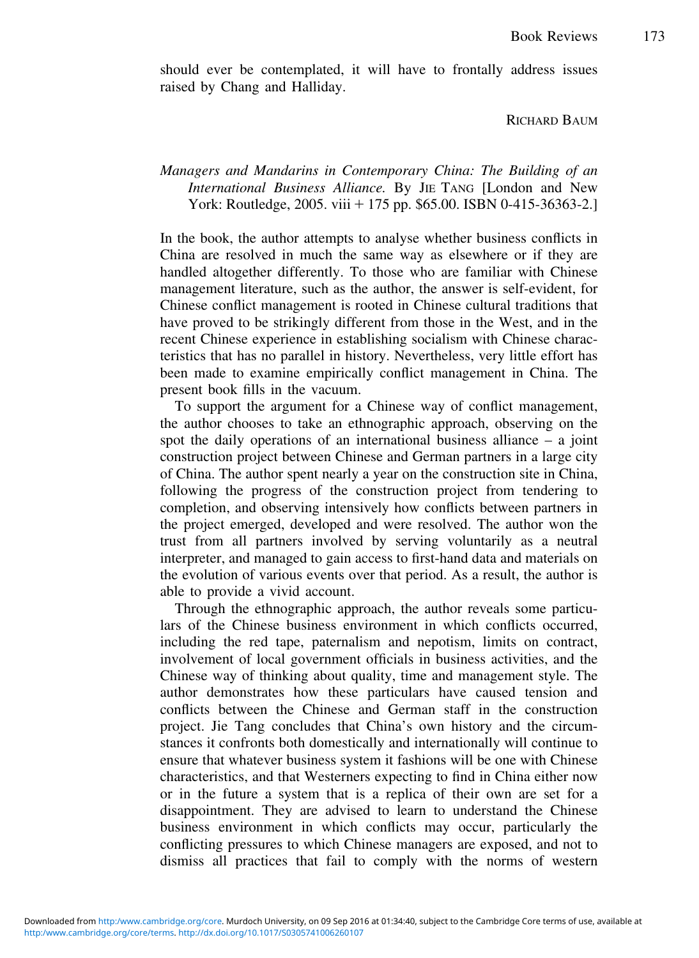should ever be contemplated, it will have to frontally address issues raised by Chang and Halliday.

RICHARD BAUM

## *Managers and Mandarins in Contemporary China: The Building of an International Business Alliance.* By JIE TANG [London and New York: Routledge, 2005. viii + 175 pp. \$65.00. ISBN 0-415-36363-2.1

In the book, the author attempts to analyse whether business conflicts in China are resolved in much the same way as elsewhere or if they are handled altogether differently. To those who are familiar with Chinese management literature, such as the author, the answer is self-evident, for Chinese conflict management is rooted in Chinese cultural traditions that have proved to be strikingly different from those in the West, and in the recent Chinese experience in establishing socialism with Chinese characteristics that has no parallel in history. Nevertheless, very little effort has been made to examine empirically conflict management in China. The present book fills in the vacuum.

To support the argument for a Chinese way of conflict management, the author chooses to take an ethnographic approach, observing on the spot the daily operations of an international business alliance – a joint construction project between Chinese and German partners in a large city of China. The author spent nearly a year on the construction site in China, following the progress of the construction project from tendering to completion, and observing intensively how conflicts between partners in the project emerged, developed and were resolved. The author won the trust from all partners involved by serving voluntarily as a neutral interpreter, and managed to gain access to first-hand data and materials on the evolution of various events over that period. As a result, the author is able to provide a vivid account.

Through the ethnographic approach, the author reveals some particulars of the Chinese business environment in which conflicts occurred, including the red tape, paternalism and nepotism, limits on contract, involvement of local government officials in business activities, and the Chinese way of thinking about quality, time and management style. The author demonstrates how these particulars have caused tension and conflicts between the Chinese and German staff in the construction project. Jie Tang concludes that China's own history and the circumstances it confronts both domestically and internationally will continue to ensure that whatever business system it fashions will be one with Chinese characteristics, and that Westerners expecting to find in China either now or in the future a system that is a replica of their own are set for a disappointment. They are advised to learn to understand the Chinese business environment in which conflicts may occur, particularly the conflicting pressures to which Chinese managers are exposed, and not to dismiss all practices that fail to comply with the norms of western